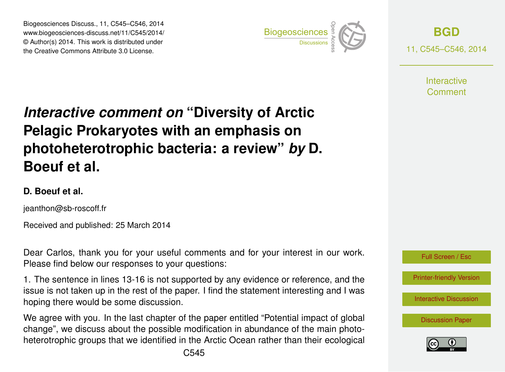Biogeosciences Discuss., 11, C545–C546, 2014 www.biogeosciences-discuss.net/11/C545/2014/ © Author(s) 2014. This work is distributed under Biogeosciences Discuss., 11, C545–C546, 2014<br>www.biogeosciences-discuss.net/11/C545/2014/<br>© Author(s) 2014. This work is distributed under<br>the Creative Commons Attribute 3.0 License.



**[BGD](http://www.biogeosciences-discuss.net)** 11, C545–C546, 2014

> **Interactive** Comment

## *Interactive comment on* **"Diversity of Arctic Pelagic Prokaryotes with an emphasis on photoheterotrophic bacteria: a review"** *by* **D. Boeuf et al.**

## **D. Boeuf et al.**

jeanthon@sb-roscoff.fr

Received and published: 25 March 2014

Dear Carlos, thank you for your useful comments and for your interest in our work. Please find below our responses to your questions:

1. The sentence in lines 13-16 is not supported by any evidence or reference, and the issue is not taken up in the rest of the paper. I find the statement interesting and I was hoping there would be some discussion.

We agree with you. In the last chapter of the paper entitled "Potential impact of global change", we discuss about the possible modification in abundance of the main photoheterotrophic groups that we identified in the Arctic Ocean rather than their ecological

[Printer-friendly Version](http://www.biogeosciences-discuss.net/11/C545/2014/bgd-11-C545-2014-print.pdf)

[Interactive Discussion](http://www.biogeosciences-discuss.net/11/2419/2014/bgd-11-2419-2014-discussion.html)

[Discussion Paper](http://www.biogeosciences-discuss.net/11/2419/2014/bgd-11-2419-2014.pdf)